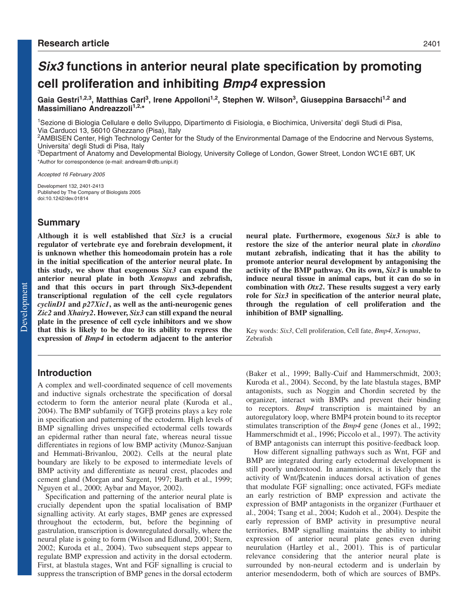# **Six3 functions in anterior neural plate specification by promoting cell proliferation and inhibiting Bmp4 expression**

Gaia Gestri<sup>1,2,3</sup>, Matthias Carl<sup>3</sup>, Irene Appolloni<sup>1,2</sup>, Stephen W. Wilson<sup>3</sup>, Giuseppina Barsacchi<sup>1,2</sup> and **Massimiliano Andreazzoli<sup>1,2,\*</sup>** 

1Sezione di Biologia Cellulare e dello Sviluppo, Dipartimento di Fisiologia, e Biochimica, Universita' degli Studi di Pisa, Via Carducci 13, 56010 Ghezzano (Pisa), Italy

<sup>2</sup>AMBISEN Center, High Technology Center for the Study of the Environmental Damage of the Endocrine and Nervous Systems, Universita' degli Studi di Pisa, Italy

3Department of Anatomy and Developmental Biology, University College of London, Gower Street, London WC1E 6BT, UK \*Author for correspondence (e-mail: andream@dfb.unipi.it)

Accepted 16 February 2005

Development 132, 2401-2413 Published by The Company of Biologists 2005 doi:10.1242/dev.01814

# **Summary**

**Although it is well established that** *Six3* **is a crucial regulator of vertebrate eye and forebrain development, it is unknown whether this homeodomain protein has a role in the initial specification of the anterior neural plate. In this study, we show that exogenous** *Six3* **can expand the anterior neural plate in both** *Xenopus* **and zebrafish, and that this occurs in part through Six3-dependent transcriptional regulation of the cell cycle regulators** *cyclinD1* **and** *p27Xic1***, as well as the anti-neurogenic genes** *Zic2* **and** *Xhairy2***. However,** *Six3* **can still expand the neural plate in the presence of cell cycle inhibitors and we show that this is likely to be due to its ability to repress the expression of** *Bmp4* **in ectoderm adjacent to the anterior**

# **Introduction**

A complex and well-coordinated sequence of cell movements and inductive signals orchestrate the specification of dorsal ectoderm to form the anterior neural plate (Kuroda et al., 2004). The BMP subfamily of TGFβ proteins plays a key role in specification and patterning of the ectoderm. High levels of BMP signalling drives unspecified ectodermal cells towards an epidermal rather than neural fate, whereas neural tissue differentiates in regions of low BMP activity (Munoz-Sanjuan and Hemmati-Brivanlou, 2002). Cells at the neural plate boundary are likely to be exposed to intermediate levels of BMP activity and differentiate as neural crest, placodes and cement gland (Morgan and Sargent, 1997; Barth et al., 1999; Nguyen et al., 2000; Aybar and Mayor, 2002).

Specification and patterning of the anterior neural plate is crucially dependent upon the spatial localisation of BMP signalling activity. At early stages, BMP genes are expressed throughout the ectoderm, but, before the beginning of gastrulation, transcription is downregulated dorsally, where the neural plate is going to form (Wilson and Edlund, 2001; Stern, 2002; Kuroda et al., 2004). Two subsequent steps appear to regulate BMP expression and activity in the dorsal ectoderm. First, at blastula stages, Wnt and FGF signalling is crucial to suppress the transcription of BMP genes in the dorsal ectoderm **neural plate. Furthermore, exogenous** *Six3* **is able to restore the size of the anterior neural plate in** *chordino* **mutant zebrafish, indicating that it has the ability to promote anterior neural development by antagonising the activity of the BMP pathway. On its own,** *Six3* **is unable to induce neural tissue in animal caps, but it can do so in combination with** *Otx2***. These results suggest a very early role for** *Six3* **in specification of the anterior neural plate, through the regulation of cell proliferation and the inhibition of BMP signalling.**

Key words: *Six3*, Cell proliferation, Cell fate, *Bmp4*, *Xenopus*, Zebrafish

(Baker et al., 1999; Bally-Cuif and Hammerschmidt, 2003; Kuroda et al., 2004). Second, by the late blastula stages, BMP antagonists, such as Noggin and Chordin secreted by the organizer, interact with BMPs and prevent their binding to receptors. *Bmp4* transcription is maintained by an autoregulatory loop, where BMP4 protein bound to its receptor stimulates transcription of the *Bmp4* gene (Jones et al., 1992; Hammerschmidt et al., 1996; Piccolo et al., 1997). The activity of BMP antagonists can interrupt this positive-feedback loop.

How different signalling pathways such as Wnt, FGF and BMP are integrated during early ectodermal development is still poorly understood. In anamniotes, it is likely that the activity of Wnt/βcatenin induces dorsal activation of genes that modulate FGF signalling; once activated, FGFs mediate an early restriction of BMP expression and activate the expression of BMP antagonists in the organizer (Furthauer et al., 2004; Tsang et al., 2004; Kudoh et al., 2004). Despite the early repression of BMP activity in presumptive neural territories, BMP signalling maintains the ability to inhibit expression of anterior neural plate genes even during neurulation (Hartley et al., 2001). This is of particular relevance considering that the anterior neural plate is surrounded by non-neural ectoderm and is underlain by anterior mesendoderm, both of which are sources of BMPs.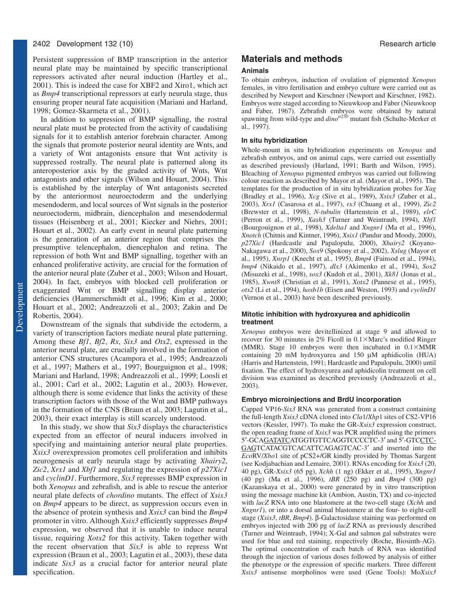Persistent suppression of BMP transcription in the anterior neural plate may be maintained by specific transcriptional repressors activated after neural induction (Hartley et al., 2001). This is indeed the case for XBF2 and Xiro1, which act as *Bmp4* transcriptional repressors at early neurula stage, thus ensuring proper neural fate acquisition (Mariani and Harland, 1998; Gomez-Skarmeta et al., 2001).

In addition to suppression of BMP signalling, the rostral neural plate must be protected from the activity of caudalising signals for it to establish anterior forebrain character. Among the signals that promote posterior neural identity are Wnts, and a variety of Wnt antagonists ensure that Wnt activity is suppressed rostrally. The neural plate is patterned along its anteroposterior axis by the graded activity of Wnts, Wnt antagonists and other signals (Wilson and Houart, 2004). This is established by the interplay of Wnt antagonists secreted by the anteriormost neuroectoderm and the underlying mesendoderm, and local sources of Wnt signals in the posterior neuroectoderm, midbrain, diencephalon and mesendodermal tissues (Heisenberg et al., 2001; Kiecker and Niehrs, 2001; Houart et al., 2002). An early event in neural plate patterning is the generation of an anterior region that comprises the presumptive telencephalon, diencephalon and retina. The repression of both Wnt and BMP signalling, together with an enhanced proliferative activity, are crucial for the formation of the anterior neural plate (Zuber et al., 2003; Wilson and Houart, 2004). In fact, embryos with blocked cell proliferation or exaggerated Wnt or BMP signalling display anterior deficiencies (Hammerschmidt et al., 1996; Kim et al., 2000; Houart et al., 2002; Andreazzoli et al., 2003; Zakin and De Robertis, 2004).

Downstream of the signals that subdivide the ectoderm, a variety of transcription factors mediate neural plate patterning. Among these *Bf1*, *Bf2*, *Rx*, *Six3* and *Otx2*, expressed in the anterior neural plate, are crucially involved in the formation of anterior CNS structures (Acampora et al., 1995; Andreazzoli et al., 1997; Mathers et al., 1997; Bourguignon et al., 1998; Mariani and Harland, 1998; Andreazzoli et al., 1999; Loosli et al., 2001; Carl et al., 2002; Lagutin et al., 2003). However, although there is some evidence that links the activity of these transcription factors with those of the Wnt and BMP pathways in the formation of the CNS (Braun et al., 2003; Lagutin et al., 2003), their exact interplay is still scarcely understood.

In this study, we show that *Six3* displays the characteristics expected from an effector of neural inducers involved in specifying and maintaining anterior neural plate properties. *Xsix3* overexpression promotes cell proliferation and inhibits neurogenesis at early neurula stage by activating *Xhairy2*, *Zic2*, *Xrx1* and *Xbf1* and regulating the expression of *p27Xic1* and *cyclinD1*. Furthermore, *Six3* represses BMP expression in both *Xenopus* and zebrafish, and is able to rescue the anterior neural plate defects of *chordino* mutants. The effect of *Xsix3* on *Bmp4* appears to be direct, as suppression occurs even in the absence of protein synthesis and *Xsix3* can bind the *Bmp4* promoter in vitro. Although *Xsix3* efficiently suppresses *Bmp4* expression, we observed that it is unable to induce neural tissue, requiring *Xotx2* for this activity. Taken together with the recent observation that *Six3* is able to repress Wnt expression (Braun et al., 2003; Lagutin et al., 2003), these data indicate *Six3* as a crucial factor for anterior neural plate specification.

# **Materials and methods**

#### **Animals**

To obtain embryos, induction of ovulation of pigmented *Xenopus* females, in vitro fertilisation and embryo culture were carried out as described by Newport and Kirschner (Newport and Kirschner, 1982). Embryos were staged according to Nieuwkoop and Faber (Nieuwkoop and Faber, 1967). Zebrafish embryos were obtained by natural spawning from wild-type and  $dinot^{t250}$  mutant fish (Schulte-Merker et al., 1997).

#### **In situ hybridization**

Whole-mount in situ hybridization experiments on *Xenopus* and zebrafish embryos, and on animal caps, were carried out essentially as described previously (Harland, 1991; Barth and Wilson, 1995). Bleaching of *Xenopus* pigmented embryos was carried out following colour reaction as described by Mayor et al. (Mayor et al., 1995). The templates for the production of in situ hybridization probes for *Xag* (Bradley et al., 1996), *Xcg* (Sive et al., 1989), *Xsix3* (Zuber et al., 2003), *Xrx1* (Casarosa et al., 1997), *rx3* (Chuang et al., 1999), *Zic2* (Brewster et al., 1998), *N-tubulin* (Hartenstein et al., 1989), *elrC* (Perron et al., 1999), *Xash3* (Turner and Weintraub, 1994), *Xbf1* (Bourgouignon et al., 1998), *Xdelta1* and *Xngnr1* (Ma et al., 1996), *Xnotch* (Chitnis and Kintner, 1996), *Xsix1* (Pandur and Moody, 2000), *p27Xic1* (Hardcastle and Papalopulu, 2000), *Xhairy2* (Koyano-Nakagawa et al., 2000), *Sox9* (Spokony et al., 2002), *Xslug* (Mayor et al., 1995), *Xnrp1* (Knecht et al., 1995), *Bmp4* (Fainsod et al., 1994), *bmp4* (Nikaido et al., 1997), *dlx3* (Akimenko et al., 1994), *Sox2* (Misuzeki et al., 1998), *sox3* (Kudoh et al., 2001), *Xk81* (Jonas et al., 1985), *Xwnt8* (Christian et al., 1991), *Xotx2* (Pannese et al., 1995), *otx2* (Li et al., 1994), *hoxb1b* (Eisen and Weston, 1993) and *cyclinD1* (Vernon et al., 2003) have been described previously.

#### **Mitotic inhibition with hydroxyurea and aphidicolin treatment**

*Xenopus* embryos were devitellinized at stage 9 and allowed to recover for 30 minutes in  $2\%$  Ficoll in  $0.1 \times$ Marc's modified Ringer (MMR). Stage 10 embryos were then incubated in  $0.1 \times MMR$ containing 20 mM hydroxyurea and 150 µM aphidicolin (HUA) (Harris and Hartenstein, 1991; Hardcastle and Papalopulu, 2000) until fixation. The effect of hydroxyurea and aphidicolin treatment on cell division was examined as described previously (Andreazzoli et al., 2003).

#### **Embryo microinjections and BrdU incorporation**

Capped VP16-*Six3* RNA was generated from a construct containing the full-length *Xsix3* cDNA cloned into *Cla*1/*Xhp*1 sites of CS2-VP16 vectors (Kessler, 1997). To make the GR-*Xsix3* expression construct, the open reading frame of *Xsix3* was PCR amplified using the primers 5′-GCAGATATCATGGTGTTCAGGTCCCCTC-3′ and 5′-GTCCTC-GAGTCATACGTCACATTCAGAGTCAC-3′ and inserted into the *Eco*RV/*Xho*1 site of pCS2+/GR kindly provided by Thomas Sargent (see Kodjabachian and Lemaire, 2001). RNAs encoding for *Xsix3* (20, 40 pg), GR-*Xsix3* (65 pg), *Xchh* (1 ng) (Ekker et al., 1995), *Xngnr1* (40 pg) (Ma et al., 1996), *tBR* (250 pg) and *Bmp4* (300 pg) (Kazanskaya et al., 2000) were generated by in vitro transcription using the message machine kit (Ambion, Austin, TX) and co-injected with *lacZ* RNA into one blastomere at the two-cell stage (*Xchh* and *Xngnr1*), or into a dorsal animal blastomere at the four- to eight-cell stage (*Xsix3*, *tBR*, *Bmp4*). β-Galactosidase staining was performed on embryos injected with 200 pg of *lacZ* RNA as previously described (Turner and Weintraub, 1994); X-Gal and salmon gal substrates were used for blue and red staining, respectively (Roche, Biosinth-AG). The optimal concentration of each batch of RNA was identified through the injection of various doses followed by analysis of either the phenotype or the expression of specific markers. Three different *Xsix3* antisense morpholinos were used (Gene Tools): Mo*Xsix3*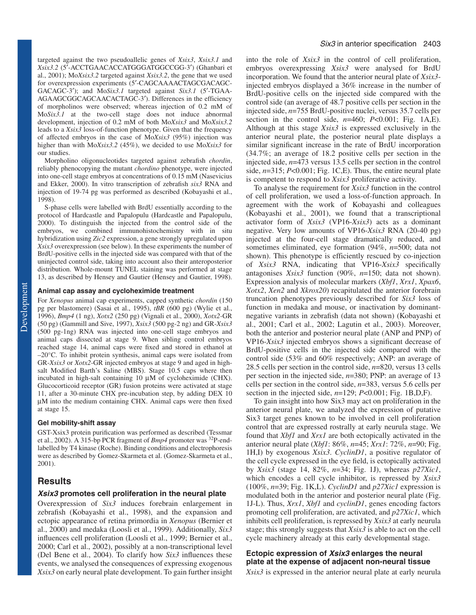targeted against the two pseudoallelic genes of *Xsix3*, *Xsix3.1* and *Xsix3.2* (5′-ACCTGAACACCATGGGATGGCCGG-3′) (Ghanbari et al., 2001); Mo*Xsix3.2* targeted against *Xsix3.2*, the gene that we used for overexpression experiments (5′-CAGCAAAACTAGCGACAGC-GACAGC-3′); and Mo*Six3.1* targeted against *Six3.1* (5′-TGAA-AGAAGCGGCAGCAACACTAGC-3′). Differences in the efficiency of morpholinos were observed; whereas injection of 0.2 mM of Mo*Six3.1* at the two-cell stage does not induce abnormal development, injection of 0.2 mM of both Mo*Xsix3* and Mo*Xsix3.2* leads to a *Xsix3* loss-of-function phenotype. Given that the frequency of affected embryos in the case of Mo*Xsix3* (95%) injection was higher than with Mo*Xsix3.2* (45%), we decided to use Mo*Xsix3* for our studies.

Morpholino oligonucleotides targeted against zebrafish *chordin*, reliably phenocopying the mutant *chordino* phenotype, were injected into one-cell stage embryos at concentrations of 0.15 mM (Nasevicius and Ekker, 2000). In vitro transcription of zebrafish *six3* RNA and injection of 19-74 pg was performed as described (Kobayashi et al., 1998).

S-phase cells were labelled with BrdU essentially according to the protocol of Hardcastle and Papalopulu (Hardcastle and Papalopulu, 2000). To distinguish the injected from the control side of the embryos, we combined immunohistochemistry with in situ hybridization using *Zic2* expression, a gene strongly upregulated upon *Xsix3* overexpression (see below). In these experiments the number of BrdU-positive cells in the injected side was compared with that of the uninjected control side, taking into account also their anteroposterior distribution. Whole-mount TUNEL staining was performed at stage 13, as described by Hensey and Gautier (Hensey and Gautier, 1998).

#### **Animal cap assay and cycloheximide treatment**

For *Xenopus* animal cap experiments, capped synthetic *chordin* (150 pg per blastomere) (Sasai et al., 1995), *tBR* (600 pg) (Wylie et al., 1996), *Bmp4* (1 ng), *Xotx2* (250 pg) (Vignali et al., 2000), *Xotx2-*GR (50 pg) (Gammill and Sive, 1997), *Xsix3* (500 pg-2 ng) and GR-*Xsix3* (500 pg-1ng) RNA was injected into one-cell stage embryos and animal caps dissected at stage 9. When sibling control embryos reached stage 14, animal caps were fixed and stored in ethanol at –20°C. To inhibit protein synthesis, animal caps were isolated from GR-*Xsix3* or *Xotx2*-GR injected embryos at stage 9 and aged in highsalt Modified Barth's Saline (MBS). Stage 10.5 caps where then incubated in high-salt containing 10 µΜ of cycloheximide (CHX). Glucocorticoid receptor (GR) fusion proteins were activated at stage 11, after a 30-minute CHX pre-incubation step, by adding DEX 10 µΜ into the medium containing CHX. Animal caps were then fixed at stage 15.

#### **Gel mobility-shift assay**

GST-Xsix3 protein purification was performed as described (Tessmar et al., 2002). A 315-bp PCR fragment of *Bmp4* promoter was 32P-endlabelled by T4 kinase (Roche). Binding conditions and electrophoresis were as described by Gomez-Skarmeta et al. (Gomez-Skarmeta et al., 2001).

# **Results**

#### **Xsix3 promotes cell proliferation in the neural plate**

Overexpression of *Six3* induces forebrain enlargement in zebrafish (Kobayashi et al., 1998), and the expansion and ectopic appearance of retina primordia in *Xenopus* (Bernier et al., 2000) and medaka (Loosli et al., 1999). Additionally, *Six3* influences cell proliferation (Loosli et al., 1999; Bernier et al., 2000; Carl et al., 2002), possibly at a non-transcriptional level (Del Bene et al., 2004). To clarify how *Six3* influences these events, we analysed the consequences of expressing exogenous *Xsix3* on early neural plate development. To gain further insight

into the role of *Xsix3* in the control of cell proliferation, embryos overexpressing *Xsix3* were analysed for BrdU incorporation. We found that the anterior neural plate of *Xsix3* injected embryos displayed a 36% increase in the number of BrdU-positive cells on the injected side compared with the control side (an average of 48.7 positive cells per section in the injected side, *n*=755 BrdU-positive nuclei, versus 35.7 cells per section in the control side, *n*=460; *P*<0.001; Fig. 1A,E). Although at this stage *Xsix3* is expressed exclusively in the anterior neural plate, the posterior neural plate displays a similar significant increase in the rate of BrdU incorporation (34.7%; an average of 18.2 positive cells per section in the injected side, *n*=473 versus 13.5 cells per section in the control side, *n*=315; *P*<0.001; Fig. 1C,E). Thus, the entire neural plate is competent to respond to *Xsix3* proliferative activity.

To analyse the requirement for *Xsix3* function in the control of cell proliferation, we used a loss-of-function approach. In agreement with the work of Kobayashi and colleagues (Kobayashi et al., 2001), we found that a transcriptional activator form of *Xsix3* (VP16-*Xsix3*) acts as a dominant negative. Very low amounts of VP16-*Xsix3* RNA (20-40 pg) injected at the four-cell stage dramatically reduced, and sometimes eliminated, eye formation (94%, *n*=500; data not shown). This phenotype is efficiently rescued by co-injection of *Xsix3* RNA, indicating that VP16-*Xsix3* specifically antagonises *Xsix3* function (90%, *n*=150; data not shown). Expression analysis of molecular markers (*Xbf1*, *Xrx1*, *Xpax6*, *Xotx2*, *Xen2* and *Xkrox20*) recapitulated the anterior forebrain truncation phenotypes previously described for *Six3* loss of function in medaka and mouse, or inactivation by dominantnegative variants in zebrafish (data not shown) (Kobayashi et al., 2001; Carl et al., 2002; Lagutin et al., 2003). Moreover, both the anterior and posterior neural plate (ANP and PNP) of VP16-*Xsix3* injected embryos shows a significant decrease of BrdU-positive cells in the injected side compared with the control side (53% and 60% respectively; ANP: an average of 28.5 cells per section in the control side, *n*=820, versus 13 cells per section in the injected side, *n*=380; PNP: an average of 13 cells per section in the control side, *n*=383, versus 5.6 cells per section in the injected side, *n*=129; *P*<0.001; Fig. 1B,D,F).

To gain insight into how Six3 may act on proliferation in the anterior neural plate, we analyzed the expression of putative Six3 target genes known to be involved in cell proliferation control that are expressed rostrally at early neurula stage. We found that *Xbf1* and *Xrx1* are both ectopically activated in the anterior neural plate (*Xbf1*: 86%, *n*=45; *Xrx1*: 72%, *n*=90; Fig. 1H,I) by exogenous *Xsix3*. *CyclinD1*, a positive regulator of the cell cycle expressed in the eye field, is ectopically activated by *Xsix3* (stage 14, 82%, *n*=34; Fig. 1J), whereas *p27Xic1*, which encodes a cell cycle inhibitor, is repressed by *Xsix3* (100%, *n*=39; Fig. 1K,L). *CyclinD1* and *p27Xic1* expression is modulated both in the anterior and posterior neural plate (Fig. 1J-L). Thus, *Xrx1*, *Xbf1* and *cyclinD1*, genes encoding factors promoting cell proliferation, are activated, and *p27Xic1*, which inhibits cell proliferation, is repressed by *Xsix3* at early neurula stage; this strongly suggests that *Xsix3* is able to act on the cell cycle machinery already at this early developmental stage.

# **Ectopic expression of Xsix3 enlarges the neural plate at the expense of adjacent non-neural tissue**

*Xsix3* is expressed in the anterior neural plate at early neurula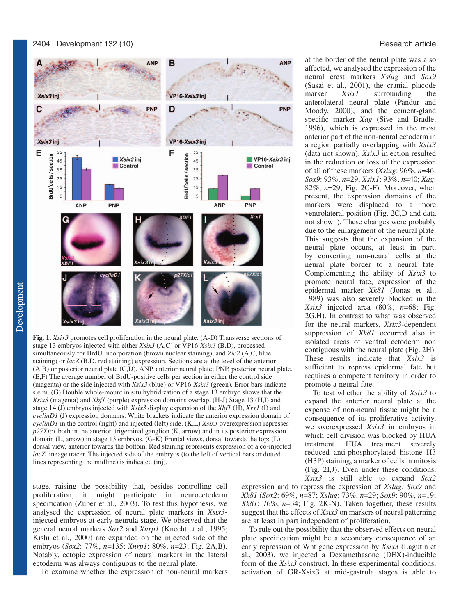

**Fig. 1.** *Xsix3* promotes cell proliferation in the neural plate. (A-D) Transverse sections of stage 13 embryos injected with either *Xsix3* (A,C) or VP16-*Xsix3* (B,D), processed simultaneously for BrdU incorporation (brown nuclear staining), and *Zic2* (A,C, blue staining) or *lacZ* (B,D, red staining) expression. Sections are at the level of the anterior (A,B) or posterior neural plate (C,D). ANP, anterior neural plate; PNP, posterior neural plate. (E,F) The average number of BrdU-positive cells per section in either the control side (magenta) or the side injected with *Xsix3* (blue) or VP16-*Xsix3* (green). Error bars indicate s.e.m. (G) Double whole-mount in situ hybridization of a stage 13 embryo shows that the *Xsix3* (magenta) and *Xbf1* (purple) expression domains overlap. (H-J) Stage 13 (H,I) and stage 14 (J) embryos injected with *Xsix3* display expansion of the *Xbf1* (H), *Xrx1* (I) and *cyclinD1* (J) expression domains. White brackets indicate the anterior expression domain of *cyclinD1* in the control (right) and injected (left) side. (K,L) *Xsix3* overexpression represses *p27Xic1* both in the anterior, trigeminal ganglion (K, arrow) and in its posterior expression domain (L, arrow) in stage 13 embryos. (G-K) Frontal views, dorsal towards the top; (L) dorsal view, anterior towards the bottom. Red staining represents expression of a co-injected *lacZ* lineage tracer. The injected side of the embryos (to the left of vertical bars or dotted lines representing the midline) is indicated (inj).

stage, raising the possibility that, besides controlling cell proliferation, it might participate in neuroectoderm specification (Zuber et al., 2003). To test this hypothesis, we analysed the expression of neural plate markers in *Xsix3* injected embryos at early neurula stage. We observed that the general neural markers *Sox2* and *Xnrp1* (Knecht et al., 1995; Kishi et al., 2000) are expanded on the injected side of the embryos (*Sox2*: 77%, *n*=135; *Xnrp1*: 80%, *n*=23; Fig. 2A,B). Notably, ectopic expression of neural markers in the lateral ectoderm was always contiguous to the neural plate.

To examine whether the expression of non-neural markers

at the border of the neural plate was also affected, we analysed the expression of the neural crest markers *Xslug* and *Sox9* (Sasai et al., 2001), the cranial placode marker *Xsix1* surrounding the anterolateral neural plate (Pandur and Moody, 2000), and the cement-gland specific marker *Xag* (Sive and Bradle, 1996), which is expressed in the most anterior part of the non-neural ectoderm in a region partially overlapping with *Xsix3* (data not shown). *Xsix3* injection resulted in the reduction or loss of the expression of all of these markers (*Xslug*: 96%, *n*=46; *Sox9*: 93%, *n*=29; *Xsix1*: 93%, *n*=40; *Xag*: 82%, *n*=29; Fig. 2C-F). Moreover, when present, the expression domains of the markers were displaced to a more ventrolateral position (Fig. 2C,D and data not shown). These changes were probably due to the enlargement of the neural plate. This suggests that the expansion of the neural plate occurs, at least in part, by converting non-neural cells at the neural plate border to a neural fate. Complementing the ability of *Xsix3* to promote neural fate, expression of the epidermal marker *Xk81* (Jonas et al., 1989) was also severely blocked in the *Xsix3* injected area (80%, *n*=68; Fig. 2G,H). In contrast to what was observed for the neural markers, *Xsix3-*dependent suppression of *Xk81* occurred also in isolated areas of ventral ectoderm non contiguous with the neural plate (Fig. 2H). These results indicate that *Xsix3* is sufficient to repress epidermal fate but requires a competent territory in order to promote a neural fate.

To test whether the ability of *Xsix3* to expand the anterior neural plate at the expense of non-neural tissue might be a consequence of its proliferative activity, we overexpressed *Xsix3* in embryos in which cell division was blocked by HUA treatment. HUA treatment severely reduced anti-phosphorylated histone H3 (H3P) staining, a marker of cells in mitosis (Fig. 2I,J). Even under these conditions, *Xsix3* is still able to expand *Sox2*

expression and to repress the expression of *Xslug*, *Sox9* and *Xk81* (*Sox2*: 69%, *n*=87; *Xslug*: 73%, *n*=29; *Sox9*: 90%, *n*=19; *Xk81*: 76%, *n*=34; Fig. 2K-N). Taken together, these results suggest that the effects of *Xsix3* on markers of neural patterning are at least in part independent of proliferation.

To rule out the possibility that the observed effects on neural plate specification might be a secondary consequence of an early repression of Wnt gene expression by *Xsix3* (Lagutin et al., 2003), we injected a Dexamethasone (DEX)-inducible form of the *Xsix3* construct. In these experimental conditions, activation of GR-Xsix3 at mid-gastrula stages is able to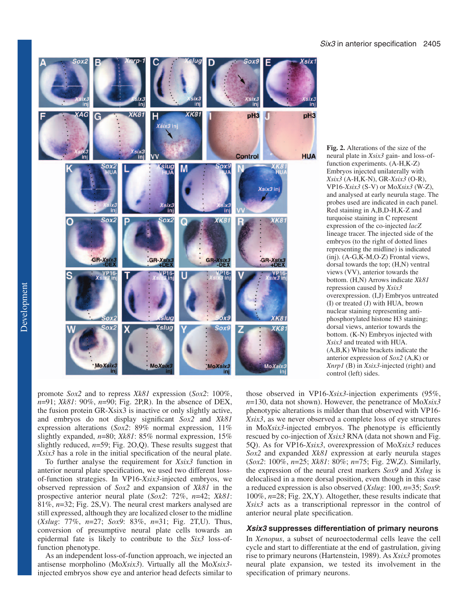

promote *Sox2* and to repress *Xk81* expression (*Sox2*: 100%, *n*=91; *Xk81*: 90%, *n*=90; Fig. 2P,R). In the absence of DEX, the fusion protein GR-Xsix3 is inactive or only slightly active, and embryos do not display significant *Sox2* and *Xk81* expression alterations (*Sox2*: 89% normal expression, 11% slightly expanded, *n*=80; *Xk81*: 85% normal expression, 15% slightly reduced, *n*=59; Fig. 2O,Q). These results suggest that *Xsix3* has a role in the initial specification of the neural plate.

To further analyse the requirement for *Xsix3* function in anterior neural plate specification, we used two different lossof-function strategies. In VP16-*Xsix3*-injected embryos, we observed repression of *Sox2* and expansion of *Xk81* in the prospective anterior neural plate (*Sox2*: 72%, *n*=42; *Xk81*: 81%, *n*=32; Fig. 2S,V). The neural crest markers analysed are still expressed, although they are localized closer to the midline (*Xslug*: 77%, *n*=27; *Sox9*: 83%, *n*=31; Fig. 2T,U). Thus, conversion of presumptive neural plate cells towards an epidermal fate is likely to contribute to the *Six3* loss-offunction phenotype.

As an independent loss-of-function approach, we injected an antisense morpholino (Mo*Xsix3*). Virtually all the Mo*Xsix3* injected embryos show eye and anterior head defects similar to **Fig. 2.** Alterations of the size of the neural plate in *Xsix3* gain- and loss-offunction experiments. (A-H,K-Z) Embryos injected unilaterally with *Xsix3* (A-H,K-N), GR-*Xsix3* (O-R), VP16*-Xsix3* (S-V) or Mo*Xsix3* (W-Z), and analysed at early neurula stage. The probes used are indicated in each panel. Red staining in A,B,D-H,K-Z and turquoise staining in C represent expression of the co-injected *lacZ* lineage tracer. The injected side of the embryos (to the right of dotted lines representing the midline) is indicated (inj). (A-G,K-M,O-Z) Frontal views, dorsal towards the top; (H,N) ventral views (VV), anterior towards the bottom. (H,N) Arrows indicate *Xk81* repression caused by *Xsix3* overexpression. (I,J) Embryos untreated (I) or treated (J) with HUA, brown nuclear staining representing antiphosphorylated histone H3 staining; dorsal views, anterior towards the bottom. (K-N) Embryos injected with *Xsix3* and treated with HUA. (A,B,K) White brackets indicate the anterior expression of *Sox2* (A,K) or *Xnrp1* (B) in *Xsix3*-injected (right) and control (left) sides.

those observed in VP16-*Xsix3*-injection experiments (95%, *n*=130, data not shown). However, the penetrance of Mo*Xsix3* phenotypic alterations is milder than that observed with VP16- *Xsix3*, as we never observed a complete loss of eye structures in Mo*Xsix3*-injected embryos. The phenotype is efficiently rescued by co-injection of *Xsix3* RNA (data not shown and Fig. 5Q). As for VP16-*Xsix3*, overexpression of Mo*Xsix3* reduces *Sox2* and expanded *Xk81* expression at early neurula stages (*Sox2*: 100%, *n*=25; *Xk81*: 80%; *n*=75; Fig. 2W,Z). Similarly, the expression of the neural crest markers *Sox9* and *Xslug* is delocalised in a more dorsal position, even though in this case a reduced expression is also observed (*Xslug*: 100, *n*=35; *Sox9*: 100%, *n*=28; Fig. 2X,Y). Altogether, these results indicate that *Xsix3* acts as a transcriptional repressor in the control of anterior neural plate specification.

# *Xsix3 suppresses differentiation of primary neurons*

In *Xenopus*, a subset of neuroectodermal cells leave the cell cycle and start to differentiate at the end of gastrulation, giving rise to primary neurons (Hartenstein, 1989). As *Xsix3* promotes neural plate expansion, we tested its involvement in the specification of primary neurons.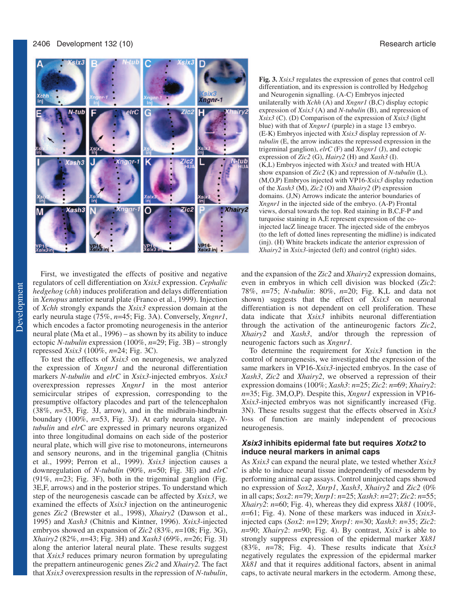

First, we investigated the effects of positive and negative regulators of cell differentiation on *Xsix3* expression. *Cephalic hedgehog* (*chh*) induces proliferation and delays differentiation in *Xenopus* anterior neural plate (Franco et al., 1999). Injection of *Xchh* strongly expands the *Xsix3* expression domain at the early neurula stage (75%, *n*=45; Fig. 3A). Conversely, *Xngnr1*, which encodes a factor promoting neurogenesis in the anterior neural plate (Ma et al., 1996) – as shown by its ability to induce ectopic *N-tubulin* expression (100%, *n*=29; Fig. 3B) – strongly repressed *Xsix3* (100%, *n*=24; Fig. 3C).

To test the effects of *Xsix3* on neurogenesis, we analyzed the expression of *Xngnr1* and the neuronal differentiation markers *N-tubulin* and *elrC* in *Xsix3*-injected embryos. *Xsix3* overexpression represses *Xngnr1* in the most anterior semicircular stripes of expression, corresponding to the presumptive olfactory placodes and part of the telencephalon (38%, *n*=53, Fig. 3J, arrow), and in the midbrain-hindbrain boundary (100%, *n*=53, Fig. 3J). At early neurula stage, *Ntubulin* and *elrC* are expressed in primary neurons organized into three longitudinal domains on each side of the posterior neural plate, which will give rise to motoneurons, interneurons and sensory neurons, and in the trigeminal ganglia (Chitnis et al., 1999; Perron et al., 1999). *Xsix3* injection causes a downregulation of *N-tubulin* (90%, *n*=50; Fig. 3E) and *elrC* (91%, *n*=23; Fig. 3F), both in the trigeminal ganglion (Fig. 3E,F, arrows) and in the posterior stripes. To understand which step of the neurogenesis cascade can be affected by *Xsix3*, we examined the effects of *Xsix3* injection on the antineurogenic genes *Zic2* (Brewster et al., 1998), *Xhairy2* (Dawson et al., 1995) and *Xash3* (Chitnis and Kintner, 1996). *Xsix3*-injected embryos showed an expansion of *Zic2* (83%, *n*=108; Fig. 3G), *Xhairy2* (82%, *n*=43; Fig. 3H) and *Xash3* (69%, *n*=26; Fig. 3I) along the anterior lateral neural plate. These results suggest that *Xsix3* reduces primary neuron formation by upregulating the prepattern antineurogenic genes *Zic2* and *Xhairy2.* The fact that *Xsix3* overexpression results in the repression of *N-tubulin*,

**Fig. 3.** *Xsix3* regulates the expression of genes that control cell differentiation, and its expression is controlled by Hedgehog and Neurogenin signalling. (A-C) Embryos injected unilaterally with *Xchh* (A) and *Xngnr1* (B,C) display ectopic expression of *Xsix3* (A) and *N-tubulin* (B), and repression of *Xsix3* (C). (D) Comparison of the expression of *Xsix3* (light blue) with that of *Xngnr1* (purple) in a stage 13 embryo. (E-K) Embryos injected with *Xsix3* display repression of *Ntubulin* (E, the arrow indicates the repressed expression in the trigeminal ganglion), *elrC* (F) and *Xngnr1* (J), and ectopic expression of *Zic2* (G), *Hairy2* (H) and *Xash3* (I). (K,L) Embryos injected with *Xsix3* and treated with HUA show expansion of *Zic2* (K) and repression of *N-tubulin* (L). (M,O,P) Embryos injected with VP16-*Xsix3* display reduction of the *Xash3* (M), *Zic2* (O) and *Xhairy2* (P) expression domains. (J,N) Arrows indicate the anterior boundaries of *Xngnr1* in the injected side of the embryo. (A-P) Frontal views, dorsal towards the top. Red staining in B,C,F-P and turquoise staining in A,E represent expression of the coinjected lacZ lineage tracer. The injected side of the embryos (to the left of dotted lines representing the midline) is indicated (inj). (H) White brackets indicate the anterior expression of *Xhairy2* in *Xsix3*-injected (left) and control (right) sides.

and the expansion of the *Zic2* and *Xhairy2* expression domains, even in embryos in which cell division was blocked (*Zic2*: 78%, *n*=75; *N-tubulin*: 80%, *n*=20; Fig. K,L and data not shown) suggests that the effect of *Xsix3* on neuronal differentiation is not dependent on cell proliferation. These data indicate that *Xsix3* inhibits neuronal differentiation through the activation of the antineurogenic factors *Zic2*, *Xhairy2* and *Xash3*, and/or through the repression of neurogenic factors such as *Xngnr1.*

To determine the requirement for *Xsix3* function in the control of neurogenesis, we investigated the expression of the same markers in VP16-*Xsix3-*injected embryos. In the case of *Xash3*, *Zic2* and *Xhairy2*, we observed a repression of their expression domains (100%; *Xash3*: *n*=25; *Zic2*: *n*=69; *Xhairy2*: *n*=35; Fig. 3M,O,P). Despite this, *Xngnr1* expression in VP16- *Xsix3-*injected embryos was not significantly increased (Fig. 3N). These results suggest that the effects observed in *Xsix3* loss of function are mainly independent of precocious neurogenesis.

#### *Xsix3 inhibits epidermal fate but requires Xotx2 to induce neural markers in animal caps*

As *Xsix3* can expand the neural plate, we tested whether *Xsix3* is able to induce neural tissue independently of mesoderm by performing animal cap assays. Control uninjected caps showed no expression of *Sox2*, *Xnrp1*, *Xash3*, *Xhairy2* and *Zic2* (0% in all caps; *Sox2*: *n*=79; *Xnrp1*: *n*=25; *Xash3*: *n*=27; *Zic2*: *n*=55; *Xhairy2*: *n*=60; Fig. 4), whereas they did express *Xk81* (100%, *n*=61; Fig. 4). None of these markers was induced in *Xsix3* injected caps (*Sox2*: *n*=129; *Xnrp1*: *n*=30; *Xash3*: *n*=35; *Zic2*: *n*=90; *Xhairy2*: *n*=90; Fig. 4). By contrast, *Xsix3* is able to strongly suppress expression of the epidermal marker *Xk81* (83%, *n*=78; Fig. 4). These results indicate that *Xsix3* negatively regulates the expression of the epidermal marker *Xk81* and that it requires additional factors, absent in animal caps, to activate neural markers in the ectoderm. Among these,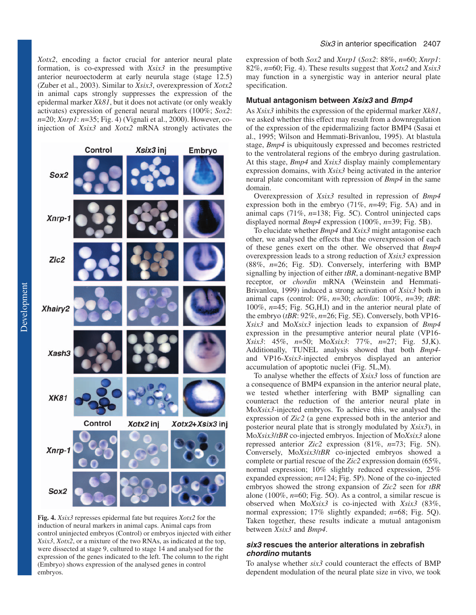*Xotx2*, encoding a factor crucial for anterior neural plate formation, is co-expressed with *Xsix3* in the presumptive anterior neuroectoderm at early neurula stage (stage 12.5) (Zuber et al., 2003). Similar to *Xsix3*, overexpression of *Xotx2* in animal caps strongly suppresses the expression of the epidermal marker *Xk81*, but it does not activate (or only weakly activates) expression of general neural markers (100%; *Sox2*: *n*=20; *Xnrp1*: *n*=35; Fig. 4) (Vignali et al., 2000). However, coinjection of *Xsix3* and *Xotx2* mRNA strongly activates the

Xsix3 inj

Embryo

Control

Sox2

Xnrp-1 Zic<sub>2</sub> Xhairy2 Xash3 **XK81** Control Xotx2 inj Xotx2+Xsix3 inj  $X$ nrp-1 Sox2

**Fig. 4.** *Xsix3* represses epidermal fate but requires *Xotx2* for the induction of neural markers in animal caps. Animal caps from control uninjected embryos (Control) or embryos injected with either *Xsix3*, *Xotx2*, or a mixture of the two RNAs, as indicated at the top, were dissected at stage 9, cultured to stage 14 and analysed for the expression of the genes indicated to the left. The column to the right (Embryo) shows expression of the analysed genes in control embryos.

expression of both *Sox2* and *Xnrp1* (*Sox2*: 88%, *n*=60; *Xnrp1*: 82%, *n*=60; Fig. 4). These results suggest that *Xotx2* and *Xsix3* may function in a synergistic way in anterior neural plate specification.

#### **Mutual antagonism between Xsix3 and Bmp4**

As *Xsix3* inhibits the expression of the epidermal marker *Xk81*, we asked whether this effect may result from a downregulation of the expression of the epidermalizing factor BMP4 (Sasai et al., 1995; Wilson and Hemmati-Brivanlou, 1995). At blastula stage, *Bmp4* is ubiquitously expressed and becomes restricted to the ventrolateral regions of the embryo during gastrulation. At this stage, *Bmp4* and *Xsix3* display mainly complementary expression domains, with *Xsix3* being activated in the anterior neural plate concomitant with repression of *Bmp4* in the same domain.

Overexpression of *Xsix3* resulted in repression of *Bmp4* expression both in the embryo (71%, *n*=49; Fig. 5A) and in animal caps (71%, *n*=138; Fig. 5C). Control uninjected caps displayed normal *Bmp4* expression (100%, *n*=39; Fig. 5B).

To elucidate whether *Bmp4* and *Xsix3* might antagonise each other, we analysed the effects that the overexpression of each of these genes exert on the other. We observed that *Bmp4* overexpression leads to a strong reduction of *Xsix3* expression (88%, *n*=26; Fig. 5D). Conversely, interfering with BMP signalling by injection of either *tBR*, a dominant-negative BMP receptor, or *chordin* mRNA (Weinstein and Hemmati-Brivanlou, 1999) induced a strong activation of *Xsix3* both in animal caps (control: 0%, *n*=30; *chordin*: 100%, *n*=39; *tBR*: 100%, *n*=45; Fig. 5G,H,I) and in the anterior neural plate of the embryo (*tBR*: 92%, *n*=26; Fig. 5E). Conversely, both VP16- *Xsix3* and Mo*Xsix3* injection leads to expansion of *Bmp4* expression in the presumptive anterior neural plate (VP16- *Xsix3*: 45%, *n*=50; Mo*Xsix3*: 77%, *n*=27; Fig. 5J,K). Additionally, TUNEL analysis showed that both *Bmp4* and VP16-*Xsix3*-injected embryos displayed an anterior accumulation of apoptotic nuclei (Fig. 5L,M).

To analyse whether the effects of *Xsix3* loss of function are a consequence of BMP4 expansion in the anterior neural plate, we tested whether interfering with BMP signalling can counteract the reduction of the anterior neural plate in Mo*Xsix3-*injected embryos. To achieve this, we analysed the expression of *Zic2* (a gene expressed both in the anterior and posterior neural plate that is strongly modulated by *Xsix3*), in Mo*Xsix3*/*tBR* co-injected embryos. Injection of Mo*Xsix3* alone repressed anterior *Zic2* expression (81%, *n*=73; Fig. 5N). Conversely, Mo*Xsix3*/*tBR* co-injected embryos showed a complete or partial rescue of the *Zic2* expression domain (65%, normal expression; 10% slightly reduced expression, 25% expanded expression; *n*=124; Fig. 5P). None of the co-injected embryos showed the strong expansion of *Zic2* seen for *tBR* alone (100%, *n*=60; Fig. 5O). As a control, a similar rescue is observed when Mo*Xsix3* is co-injected with *Xsix3* (83%, normal expression; 17% slightly expanded; *n*=68; Fig. 5Q). Taken together, these results indicate a mutual antagonism between *Xsix3* and *Bmp4*.

### **six3 rescues the anterior alterations in zebrafish chordino mutants**

To analyse whether *six3* could counteract the effects of BMP dependent modulation of the neural plate size in vivo, we took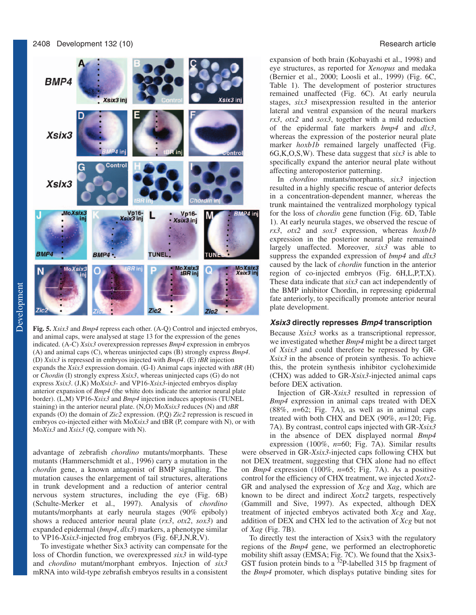

**Fig. 5.** *Xsix3* and *Bmp4* repress each other. (A-Q) Control and injected embryos, and animal caps, were analysed at stage 13 for the expression of the genes indicated. (A-C) *Xsix3* overexpression represses *Bmp4* expression in embryos (A) and animal caps (C), whereas uninjected caps (B) strongly express *Bmp4*. (D) *Xsix3* is repressed in embryos injected with *Bmp4*. (E) *tBR* injection expands the *Xsix3* expression domain. (G-I) Animal caps injected with *tBR* (H) or *Chordin* (I) strongly express *Xsix3*, whereas uninjected caps (G) do not express *Xsix3*. (J,K) Mo*Xsix3-* and VP16-*Xsix3*-injected embryos display anterior expansion of *Bmp4* (the white dots indicate the anterior neural plate border). (L,M) VP16-*Xsix3* and *Bmp4* injection induces apoptosis (TUNEL staining) in the anterior neural plate. (N,O) Mo*Xsix3* reduces (N) and *tBR* expands (O) the domain of *Zic2* expression. (P,Q) *Zic2* repression is rescued in embryos co-injected either with Mo*Xsix3* and tBR (P, compare with N), or with Mo*Xix3* and *Xsix3* (Q, compare with N).

advantage of zebrafish *chordino* mutants/morphants. These mutants (Hammerschmidt et al., 1996) carry a mutation in the *chordin* gene, a known antagonist of BMP signalling. The mutation causes the enlargement of tail structures, alterations in trunk development and a reduction of anterior central nervous system structures, including the eye (Fig. 6B) (Schulte-Merker et al., 1997). Analysis of *chordino* mutants/morphants at early neurula stages (90% epiboly) shows a reduced anterior neural plate (*rx3*, *otx2*, *sox3*) and expanded epidermal (*bmp4*, *dlx3*) markers, a phenotype similar to VP16*-Xsix3*-injected frog embryos (Fig. 6F,J,N,R,V).

To investigate whether Six3 activity can compensate for the loss of Chordin function, we overexpressed *six3* in wild-type and *chordino* mutant/morphant embryos. Injection of *six3* mRNA into wild-type zebrafish embryos results in a consistent

expansion of both brain (Kobayashi et al., 1998) and eye structures, as reported for *Xenopus* and medaka (Bernier et al., 2000; Loosli et al., 1999) (Fig. 6C, Table 1). The development of posterior structures remained unaffected (Fig. 6C). At early neurula stages, *six3* misexpression resulted in the anterior lateral and ventral expansion of the neural markers *rx3*, *otx2* and *sox3*, together with a mild reduction of the epidermal fate markers *bmp4* and *dlx3*, whereas the expression of the posterior neural plate marker *hoxb1b* remained largely unaffected (Fig. 6G,K,O,S,W). These data suggest that *six3* is able to specifically expand the anterior neural plate without affecting anteroposterior patterning.

In *chordino* mutants/morphants, *six3* injection resulted in a highly specific rescue of anterior defects in a concentration-dependent manner, whereas the trunk maintained the ventralized morphology typical for the loss of *chordin* gene function (Fig. 6D, Table 1). At early neurula stages, we observed the rescue of *rx3*, *otx2* and *sox3* expression, whereas *hoxb1b* expression in the posterior neural plate remained largely unaffected. Moreover, *six3* was able to suppress the expanded expression of *bmp4* and *dlx3* caused by the lack of *chordin* function in the anterior region of co-injected embryos (Fig. 6H,L,P,T,X). These data indicate that *six3* can act independently of the BMP inhibitor Chordin, in repressing epidermal fate anteriorly, to specifically promote anterior neural plate development.

#### *Xsix3 directly represses Bmp4 transcription*

Because *Xsix3* works as a transcriptional repressor, we investigated whether *Bmp4* might be a direct target of *Xsix3* and could therefore be repressed by GR-*Xsix3* in the absence of protein synthesis. To achieve this, the protein synthesis inhibitor cycloheximide (CHX) was added to GR-*Xsix3*-injected animal caps before DEX activation.

Injection of GR-*Xsix3* resulted in repression of *Bmp4* expression in animal caps treated with DEX (88%, *n*=62; Fig. 7A), as well as in animal caps treated with both CHX and DEX (90%, *n*=120; Fig. 7A). By contrast, control caps injected with GR-*Xsix3* in the absence of DEX displayed normal *Bmp4* expression (100%, *n*=60; Fig. 7A). Similar results were observed in GR-*Xsix3*-injected caps following CHX but not DEX treatment, suggesting that CHX alone had no effect on *Bmp4* expression (100%, *n*=65; Fig. 7A). As a positive control for the efficiency of CHX treatment, we injected *Xotx2*- GR and analysed the expression of *Xcg* and *Xag*, which are

known to be direct and indirect *Xotx2* targets, respectively (Gammill and Sive, 1997). As expected, although DEX treatment of injected embryos activated both *Xcg* and *Xag*, addition of DEX and CHX led to the activation of *Xcg* but not of *Xag* (Fig. 7B).

To directly test the interaction of Xsix3 with the regulatory regions of the *Bmp4* gene, we performed an electrophoretic mobility shift assay (EMSA; Fig. 7C). We found that the Xsix3- GST fusion protein binds to a  $32P$ -labelled 315 bp fragment of the *Bmp4* promoter, which displays putative binding sites for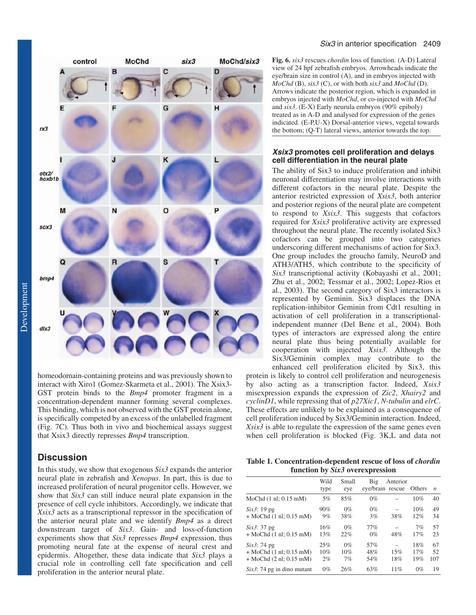

homeodomain-containing proteins and was previously shown to interact with Xiro1 (Gomez-Skarmeta et al., 2001). The Xsix3- GST protein binds to the *Bmp4* promoter fragment in a concentration-dependent manner forming several complexes. This binding, which is not observed with the GST protein alone, is specifically competed by an excess of the unlabelled fragment (Fig. 7C). Thus both in vivo and biochemical assays suggest that Xsix3 directly represses *Bmp4* transcription.

# **Discussion**

In this study, we show that exogenous *Six3* expands the anterior neural plate in zebrafish and *Xenopus*. In part, this is due to increased proliferation of neural progenitor cells. However, we show that *Six3* can still induce neural plate expansion in the presence of cell cycle inhibitors. Accordingly, we indicate that *Xsix3* acts as a transcriptional repressor in the specification of the anterior neural plate and we identify *Bmp4* as a direct downstream target of *Six3*. Gain- and loss-of-function experiments show that *Six3* represses *Bmp4* expression, thus promoting neural fate at the expense of neural crest and epidermis. Altogether, these data indicate that *Six3* plays a crucial role in controlling cell fate specification and cell proliferation in the anterior neural plate.

**Fig. 6.** *six3* rescues *chordin* loss of function. (A-D) Lateral view of 24 hpf zebrafish embryos. Arrowheads indicate the eye/brain size in control (A), and in embryos injected with *MoChd* (B), *six3* (C), or with both *six3* and *MoChd* (D). Arrows indicate the posterior region, which is expanded in embryos injected with *MoChd*, or co-injected with *MoChd* and *six3*. (E-X) Early neurula embryos (90% epiboly) treated as in A-D and analysed for expression of the genes indicated. (E-P,U-X) Dorsal-anterior views, vegetal towards the bottom; (Q-T) lateral views, anterior towards the top.

#### **Xsix3 promotes cell proliferation and delays cell differentiation in the neural plate**

The ability of Six3 to induce proliferation and inhibit neuronal differentiation may involve interactions with different cofactors in the neural plate. Despite the anterior restricted expression of *Xsix3*, both anterior and posterior regions of the neural plate are competent to respond to *Xsix3*. This suggests that cofactors required for *Xsix3* proliferative activity are expressed throughout the neural plate. The recently isolated Six3 cofactors can be grouped into two categories underscoring different mechanisms of action for Six3. One group includes the groucho family, NeuroD and ATH3/ATH5, which contribute to the specificity of *Six3* transcriptional activity (Kobayashi et al., 2001; Zhu et al., 2002; Tessmar et al., 2002; Lopez-Rios et al., 2003). The second category of Six3 interactors is represented by Geminin. Six3 displaces the DNA replication-inhibitor Geminin from Cdt1 resulting in activation of cell proliferation in a transcriptionalindependent manner (Del Bene et al., 2004). Both types of interactors are expressed along the entire neural plate thus being potentially available for cooperation with injected *Xsix3*. Although the Six3/Geminin complex may contribute to the enhanced cell proliferation elicited by Six3, this

protein is likely to control cell proliferation and neurogenesis by also acting as a transcription factor. Indeed, *Xsix3* misexpression expands the expression of *Zic2*, *Xhairy2* and *cyclinD1*, while repressing that of *p27Xic1*, *N-tubulin* and *elrC*. These effects are unlikely to be explained as a consequence of cell proliferation induced by Six3/Geminin interaction. Indeed, *Xsix3* is able to regulate the expression of the same genes even when cell proliferation is blocked (Fig. 3K,L and data not

**Table 1. Concentration-dependent rescue of loss of** *chordin* **function by** *Six3* **overexpression**

|                                                                                                           | Wild<br>type     | Small<br>eye       | Big               | Anterior<br>eve/brain rescue | Others            | $\mathfrak n$   |
|-----------------------------------------------------------------------------------------------------------|------------------|--------------------|-------------------|------------------------------|-------------------|-----------------|
| MoChd $(1 \text{ nl}; 0.15 \text{ mM})$                                                                   | 5%               | 85%                | $0\%$             |                              | 10%               | 40              |
| $Six3: 19$ pg<br>$+$ MoChd $(1 \text{ nl}; 0.15 \text{ mM})$                                              | 90%<br>9%        | $0\%$<br>38%       | $0\%$<br>3%       | 38%                          | 10%<br>12%        | 49<br>34        |
| Six3: 37 pg<br>$+$ MoChd $(1 \text{ nl}; 0.15 \text{ mM})$                                                | 16%<br>13%       | $0\%$<br>22%       | 77%<br>$0\%$      | 48%                          | 7%<br>17%         | 57<br>23        |
| Six3: 74 pg<br>$+$ MoChd $(1 \text{ nl}; 0.15 \text{ mM})$<br>$+$ MoChd $(2 \text{ nl}; 0.15 \text{ mM})$ | 25%<br>10%<br>2% | $0\%$<br>10%<br>7% | 57%<br>48%<br>54% | 15%<br>18%                   | 18%<br>17%<br>19% | 67<br>52<br>107 |
| $Six3$ : 74 pg in dino mutant                                                                             | $0\%$            | 26%                | 63%               | 11%                          | $0\%$             | 19              |
|                                                                                                           |                  |                    |                   |                              |                   |                 |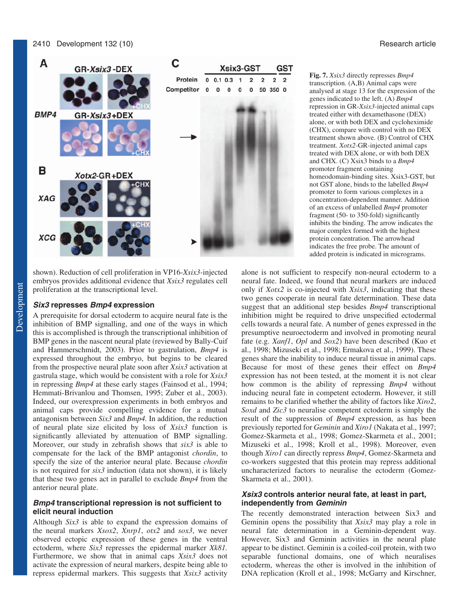#### 2410 Development 132 (10) Research article



shown). Reduction of cell proliferation in VP16-*Xsix3*-injected embryos provides additional evidence that *Xsix3* regulates cell proliferation at the transcriptional level.

#### *Six3 represses Bmp4 expression*

A prerequisite for dorsal ectoderm to acquire neural fate is the inhibition of BMP signalling, and one of the ways in which this is accomplished is through the transcriptional inhibition of BMP genes in the nascent neural plate (reviewed by Bally-Cuif and Hammerschmidt, 2003). Prior to gastrulation, *Bmp4* is expressed throughout the embryo, but begins to be cleared from the prospective neural plate soon after *Xsix3* activation at gastrula stage, which would be consistent with a role for *Xsix3* in repressing *Bmp4* at these early stages (Fainsod et al., 1994; Hemmati-Brivanlou and Thomsen, 1995; Zuber et al., 2003). Indeed, our overexpression experiments in both embryos and animal caps provide compelling evidence for a mutual antagonism between *Six3* and *Bmp4.* In addition, the reduction of neural plate size elicited by loss of *Xsix3* function is significantly alleviated by attenuation of BMP signalling. Moreover, our study in zebrafish shows that *six3* is able to compensate for the lack of the BMP antagonist *chordin*, to specify the size of the anterior neural plate. Because *chordin* is not required for *six3* induction (data not shown), it is likely that these two genes act in parallel to exclude *Bmp4* from the anterior neural plate.

#### *Bmp4 transcriptional repression is not sufficient to elicit neural induction*

Although *Six3* is able to expand the expression domains of the neural markers *Xsox2*, *Xnrp1*, *otx2* and *sox3*, we never observed ectopic expression of these genes in the ventral ectoderm, where *Six3* represses the epidermal marker *Xk81.* Furthermore, we show that in animal caps *Xsix3* does not activate the expression of neural markers, despite being able to repress epidermal markers. This suggests that *Xsix3* activity

**Fig. 7.** *Xsix3* directly represses *Bmp4* transcription. (A,B) Animal caps were analysed at stage 13 for the expression of the genes indicated to the left. (A) *Bmp4* repression in GR-*Xsix3*-injected animal caps treated either with dexamethasone (DEX) alone, or with both DEX and cycloheximide (CHX), compare with control with no DEX treatment shown above. (B) Control of CHX treatment. *Xotx2-*GR*-*injected animal caps treated with DEX alone, or with both DEX and CHX. (C) Xsix3 binds to a *Bmp4* promoter fragment containing homeodomain-binding sites. Xsix3-GST, but not GST alone, binds to the labelled *Bmp4* promoter to form various complexes in a concentration-dependent manner. Addition of an excess of unlabelled *Bmp4* promoter fragment (50- to 350-fold) significantly inhibits the binding. The arrow indicates the major complex formed with the highest protein concentration. The arrowhead indicates the free probe. The amount of added protein is indicated in micrograms.

alone is not sufficient to respecify non-neural ectoderm to a neural fate. Indeed, we found that neural markers are induced only if *Xotx2* is co-injected with *Xsix3*, indicating that these two genes cooperate in neural fate determination. These data suggest that an additional step besides *Bmp4* transcriptional inhibition might be required to drive unspecified ectodermal cells towards a neural fate. A number of genes expressed in the presumptive neuroectoderm and involved in promoting neural fate (e.g. *Xanf1*, *Opl* and *Sox2*) have been described (Kuo et al., 1998; Mizuseki et al., 1998; Ermakova et al., 1999). These genes share the inability to induce neural tissue in animal caps. Because for most of these genes their effect on *Bmp4* expression has not been tested, at the moment it is not clear how common is the ability of repressing *Bmp4* without inducing neural fate in competent ectoderm. However, it still remains to be clarified whether the ability of factors like *Xiro2*, *Soxd* and *Zic3* to neuralise competent ectoderm is simply the result of the suppression of *Bmp4* expression, as has been previously reported for *Geminin* and *Xiro1* (Nakata et al., 1997; Gomez-Skarmeta et al., 1998; Gomez-Skarmeta et al., 2001; Mizuseki et al., 1998; Kroll et al., 1998). Moreover, even though *Xiro1* can directly repress *Bmp4*, Gomez-Skarmeta and co-workers suggested that this protein may repress additional uncharacterized factors to neuralise the ectoderm (Gomez-Skarmeta et al., 2001).

#### *Xsix3 controls anterior neural fate, at least in part, independently from Geminin*

The recently demonstrated interaction between Six3 and Geminin opens the possibility that *Xsix3* may play a role in neural fate determination in a Geminin-dependent way. However, Six3 and Geminin activities in the neural plate appear to be distinct. Geminin is a coiled-coil protein, with two separable functional domains, one of which neuralises ectoderm, whereas the other is involved in the inhibition of DNA replication (Kroll et al., 1998; McGarry and Kirschner,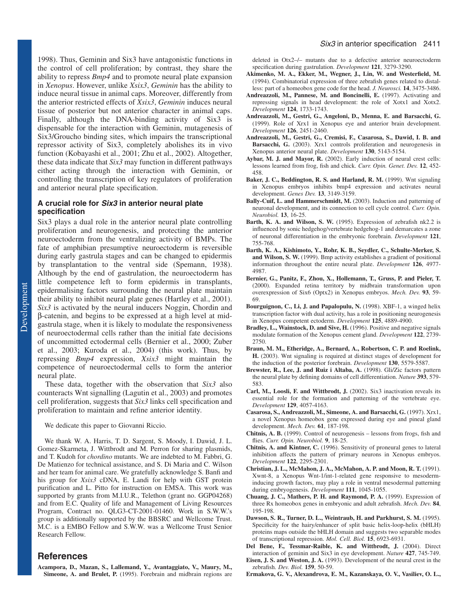1998). Thus, Geminin and Six3 have antagonistic functions in the control of cell proliferation; by contrast, they share the ability to repress *Bmp4* and to promote neural plate expansion in *Xenopus*. However, unlike *Xsix3*, *Geminin* has the ability to induce neural tissue in animal caps. Moreover, differently from the anterior restricted effects of *Xsix3*, *Geminin* induces neural tissue of posterior but not anterior character in animal caps. Finally, although the DNA-binding activity of Six3 is dispensable for the interaction with Geminin, mutagenesis of Six3/Groucho binding sites, which impairs the transcriptional repressor activity of Six3, completely abolishes its in vivo function (Kobayashi et al., 2001; Zhu et al., 2002). Altogether, these data indicate that *Six3* may function in different pathways either acting through the interaction with Geminin, or controlling the transcription of key regulators of proliferation and anterior neural plate specification.

#### **A crucial role for Six3 in anterior neural plate specification**

Six3 plays a dual role in the anterior neural plate controlling proliferation and neurogenesis, and protecting the anterior neuroectoderm from the ventralizing activity of BMPs. The fate of amphibian presumptive neuroectoderm is reversible during early gastrula stages and can be changed to epidermis by transplantation to the ventral side (Spemann, 1938). Although by the end of gastrulation, the neuroectoderm has little competence left to form epidermis in transplants, epidermalising factors surrounding the neural plate maintain their ability to inhibit neural plate genes (Hartley et al., 2001). *Six3* is activated by the neural inducers Noggin, Chordin and β-catenin, and begins to be expressed at a high level at midgastrula stage, when it is likely to modulate the responsiveness of neuroectodermal cells rather than the initial fate decisions of uncommitted ectodermal cells (Bernier et al., 2000; Zuber et al., 2003; Kuroda et al., 2004) (this work). Thus, by repressing *Bmp4* expression, *Xsix3* might maintain the competence of neuroectodermal cells to form the anterior neural plate.

These data, together with the observation that *Six3* also counteracts Wnt signalling (Lagutin et al., 2003) and promotes cell proliferation, suggests that *Six3* links cell specification and proliferation to maintain and refine anterior identity.

We dedicate this paper to Giovanni Riccio.

We thank W. A. Harris, T. D. Sargent, S. Moody, I. Dawid, J. L. Gomez-Skarmeta, J. Wittbrodt and M. Perron for sharing plasmids, and T. Kudoh for *chordino* mutants. We are indebted to M. Fabbri, G. De Matienzo for technical assistance, and S. Di Maria and C. Wilson and her team for animal care. We gratefully acknowledge S. Banfi and his group for *Xsix3* cDNA, E. Landi for help with GST protein purification and L. Pitto for instruction on EMSA. This work was supported by grants from M.I.U.R., Telethon (grant no. GGP04268) and from E.C. Quality of life and Management of Living Resources Program, Contract no. QLG3-CT-2001-01460. Work in S.W.W.'s group is additionally supported by the BBSRC and Wellcome Trust. M.C. is a EMBO Fellow and S.W.W. was a Wellcome Trust Senior Research Fellow.

# **References**

deleted in Otx2–/– mutants due to a defective anterior neuroectoderm specification during gastrulation. *Development* **121**, 3279-3290.

- **Akimenko, M. A., Ekker, M., Wegner, J., Lin, W. and Westerfield, M.** (1994). Combinatorial expression of three zebrafish genes related to distalless: part of a homeobox gene code for the head. *J. Neurosci.* **14**, 3475-3486.
- Andreazzoli, M., Pannese, M. and Boncinelli, E. (1997). Activating and repressing signals in head development: the role of Xotx1 and Xotx2. *Development* **124**, 1733-1743.
- **Andreazzoli, M., Gestri, G., Angeloni, D., Menna, E. and Barsacchi, G.** (1999). Role of Xrx1 in Xenopus eye and anterior brain development. *Development* **126**, 2451-2460.
- **Andreazzoli, M., Gestri, G., Cremisi, F., Casarosa, S., Dawid, I. B. and Barsacchi, G.** (2003). Xrx1 controls proliferation and neurogenesis in Xenopus anterior neural plate. *Development* **130**, 5143-5154.
- Aybar, M. J. and Mayor, R. (2002). Early induction of neural crest cells: lessons learned from frog, fish and chick. *Curr. Opin. Genet. Dev.* **12**, 452- 458.
- Baker, J. C., Beddington, R. S. and Harland, R. M. (1999). Wnt signaling in Xenopus embryos inhibits bmp4 expression and activates neural development. *Genes Dev.* **13**, 3149-3159.
- Bally-Cuif, L. and Hammerschmidt, M. (2003). Induction and patterning of neuronal development, and its connection to cell cycle control. *Curr. Opin. Neurobiol.* **13**, 16-25.
- **Barth, K. A. and Wilson, S. W.** (1995). Expression of zebrafish nk2.2 is influenced by sonic hedgehog/vertebrate hedgehog-1 and demarcates a zone of neuronal differentiation in the embryonic forebrain. *Development* **121**, 755-768.
- **Barth, K. A., Kishimoto, Y., Rohr, K. B., Seydler, C., Schulte-Merker, S. and Wilson, S. W.** (1999). Bmp activity establishes a gradient of positional information throughout the entire neural plate. *Development* **126**, 4977- 4987.
- **Bernier, G., Panitz, F., Zhou, X., Hollemann, T., Gruss, P. and Pieler, T.** (2000). Expanded retina territory by midbrain transformation upon overexpression of Six6 (Optx2) in Xenopus embryos. *Mech. Dev.* **93**, 59- 69.
- **Bourguignon, C., Li, J. and Papalopulu, N.** (1998). XBF-1, a winged helix transcription factor with dual activity, has a role in positioning neurogenesis in Xenopus competent ectoderm. *Development* **125**, 4889-4900.
- **Bradley, L., Wainstock, D. and Sive, H.** (1996). Positive and negative signals modulate formation of the Xenopus cement gland. *Development* **122**, 2739- 2750.
- **Braun, M. M., Etheridge, A., Bernard, A., Robertson, C. P. and Roelink, H.** (2003). Wnt signaling is required at distinct stages of development for the induction of the posterior forebrain. *Development* **130**, 5579-5587.
- Brewster, R., Lee, J. and Ruiz i Altaba, A. (1998). Gli/Zic factors pattern the neural plate by defining domains of cell differentiation. *Nature* **393**, 579- 583.
- **Carl, M., Loosli, F. and Wittbrodt, J.** (2002). Six3 inactivation reveals its essential role for the formation and patterning of the vertebrate eye. *Development* **129**, 4057-4163.
- **Casarosa, S., Andreazzoli, M., Simeone, A. and Barsacchi, G.** (1997). Xrx1, a novel Xenopus homeobox gene expressed during eye and pineal gland development. *Mech. Dev.* **61**, 187-198.
- **Chitnis, A. B.** (1999). Control of neurogenesis lessons from frogs, fish and flies. *Curr. Opin. Neurobiol.* **9**, 18-25.
- **Chitnis, A. and Kintner, C.** (1996). Sensitivity of proneural genes to lateral inhibition affects the pattern of primary neurons in Xenopus embryos. *Development* **122**, 2295-2301.
- **Christian, J. L., McMahon, J. A., McMahon, A. P. and Moon, R. T.** (1991). Xwnt-8, a Xenopus Wnt-1/int-1-related gene responsive to mesoderminducing growth factors, may play a role in ventral mesodermal patterning during embryogenesis. *Development* **111**, 1045-1055.
- **Chuang, J. C., Mathers, P. H. and Raymond, P. A.** (1999). Expression of three Rx homeobox genes in embryonic and adult zebrafish. *Mech. Dev.* **84**, 195-198.
- **Dawson, S. R., Turner, D. L., Weintraub, H. and Parkhurst, S. M.** (1995). Specificity for the hairy/enhancer of split basic helix-loop-helix (bHLH) proteins maps outside the bHLH domain and suggests two separable modes of transcriptional repression. *Mol. Cell. Biol.* **15**, 6923-6931.
- **Del Bene, F., Tessmar-Raible, K. and Wittbrodt, J.** (2004). Direct interaction of geminin and Six3 in eye development. *Nature* **427**, 745-749.
- **Eisen, J. S. and Weston, J. A.** (1993). Development of the neural crest in the zebrafish. *Dev. Biol.* **159**, 50-59.
- **Ermakova, G. V., Alexandrova, E. M., Kazanskaya, O. V., Vasiliev, O. L.,**

**Acampora, D., Mazan, S., Lallemand, Y., Avantaggiato, V., Maury, M., Simeone, A. and Brulet, P.** (1995). Forebrain and midbrain regions are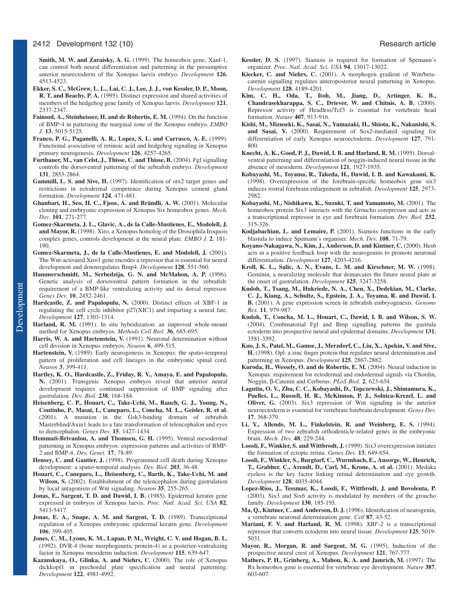#### 2412 Development 132 (10) Research article

**Smith, M. W. and Zaraisky, A. G.** (1999). The homeobox gene, Xanf-1, can control both neural differentiation and patterning in the presumptive anterior neurectoderm of the Xenopus laevis embryo. *Development* **126**, 4513-4523.

- **Ekker, S. C., McGrew, L. L., Lai, C. J., Lee, J. J., von Kessler, D. P., Moon, R. T. and Beachy, P. A.** (1995). Distinct expression and shared activities of members of the hedgehog gene family of Xenopus laevis. *Development* **121**, 2337-2347.
- Fainsod, A., Steinbeisser, H. and de Robertis, E. M. (1994). On the function of BMP-4 in patterning the marginal zone of the Xenopus embryo. *EMBO J.* **13**, 5015-5125.
- **Franco, P. G., Paganelli, A. R., Lopez, S. L. and Carrasco, A. E.** (1999). Functional association of retinoic acid and hedgehog signaling in Xenopus primary neurogenesis. *Development* **126**, 4257-4265.
- **Furthauer, M., van Celst, J., Thisse, C. and Thisse, B.** (2004). Fgf signalling controls the dorsoventral patterning of the zebrafish embryo. *Development* **131**, 2853-2864.
- **Gammill, L. S. and Sive, H.** (1997). Identification of otx2 target genes and restrictions in ectodermal competence during Xenopus cement gland formation. *Development* **124**, 471-481.
- **Ghanbari, H., Seo, H. C., Fjose, A. and Brändli, A. W.** (2001). Molecular cloning and embryonic expression of Xenopus Six homeobox genes. *Mech. Dev*. **101**, 271-277.
- **Gomez-Skarmeta, J. L., Glavic, A., de la Calle-Mustienes, E., Modolell, J. and Mayor, R.** (1998). Xiro, a Xenopus homolog of the Drosophila Iroquois complex genes, controls development at the neural plate. *EMBO J.* **2**, 181- 190.
- **Gomez-Skarmeta, J., de la Calle-Mustienes, E. and Modolell, J.** (2001). The Wnt-activated Xiro1 gene encodes a repressor that is essential for neural development and downregulates Bmp4. *Development* **128**, 551-560.
- **Hammerschmidt, M., Serbedzija, G. N. and McMahon, A. P.** (1996). Genetic analysis of dorsoventral pattern formation in the zebrafish: requirement of a BMP-like ventralizing activity and its dorsal repressor. *Genes Dev.* **10**, 2452-2461.
- **Hardcastle, Z. and Papalopulu, N.** (2000). Distinct effects of XBF-1 in regulating the cell cycle inhibitor p27(XIC1) and imparting a neural fate. *Development* **127**, 1303-1314.
- Harland, R. M. (1991). In situ hybridization: an improved whole-mount method for Xenopus embryos. *Methods Cell Biol.* **36**, 685-695.
- Harris, W. A. and Hartenstein, V. (1991). Neuronal determination without cell division in Xenopus embryos. *Neuron* **6**, 499-515.
- **Hartenstein, V.** (1989). Early neurogenesis in Xenopus: the spatio-temporal pattern of proliferation and cell lineages in the embryonic spinal cord. *Neuron* **3**, 399-411.
- **Hartley, K. O., Hardcastle, Z., Friday, R. V., Amaya, E. and Papalopulu, N.** (2001). Transgenic Xenopus embryos reveal that anterior neural development requires continued suppression of BMP signaling after gastrulation. *Dev. Biol.* **238**, 168-184.
- **Heisenberg, C. P., Houart, C., Take-Uchi, M., Rauch, G. J., Young, N., Coutinho, P., Masai, I., Caneparo, L., Concha, M. L., Geisler, R. et al.** (2001). A mutation in the Gsk3-binding domain of zebrafish Masterblind/Axin1 leads to a fate transformation of telencephalon and eyes to diencephalon. *Genes Dev.* **15**, 1427-1434.
- Hemmati-Brivanlou, A. and Thomsen, G. H. (1995). Ventral mesodermal patterning in Xenopus embryos: expression patterns and activities of BMP-2 and BMP-4. *Dev. Genet.* **17**, 78-89.
- Hensey, C. and Gautier, J. (1998). Programmed cell death during Xenopus development: a spatio-temporal analysis. *Dev. Biol.* **203**, 36-48.
- **Houart, C., Caneparo, L., Heisenberg, C., Barth, K., Take-Uchi, M. and** Wilson, S. (2002). Establishment of the telencephalon during gastrulation by local antagonism of Wnt signaling. *Neuron* **35**, 255-265.
- Jonas, E., Sargent, T. D. and Dawid, I. B. (1985). Epidermal keratin gene expressed in embryos of Xenopus laevis. *Proc. Natl. Acad. Sci. USA* **82**, 5413-5417.
- **Jonas, E. A., Snape, A. M. and Sargent, T. D.** (1989). Transcriptional regulation of a Xenopus embryonic epidermal keratin gene. *Development* **106**, 399-405.
- **Jones, C. M., Lyons, K. M., Lapan, P. M., Wright, C. V. and Hogan, B. L.** (1992). DVR-4 (bone morphogenetic protein-4) as a posterior-ventralizing factor in Xenopus mesoderm induction. *Development* **115**, 639-647.
- **Kazanskaya, O., Glinka, A. and Niehrs, C.** (2000). The role of Xenopus dickkopf1 in prechordal plate specification and neural patterning. *Development* **122**, 4981-4992.
- **Kessler, D. S.** (1997). Siamois is required for formation of Spemann's organizer. *Proc. Natl. Acad. Sci. USA* **94**, 13017-13022.
- **Kiecker, C. and Niehrs, C.** (2001). A morphogen gradient of Wnt/betacatenin signalling regulates anteroposterior neural patterning in Xenopus. *Development* **128**, 4189-4201.
- **Kim, C. H., Oda, T., Itoh, M., Jiang, D., Artinger, K. B., Chandrasekharappa, S. C., Driever, W. and Chitnis, A. B.** (2000). Repressor activity of Headless/Tcf3 is essential for vertebrate head formation. *Nature* **407**, 913-916.
- **Kishi, M., Mizuseki, K., Sasai, N., Yamazaki, H., Shiota, K., Nakanishi, S. and Sasai, Y.** (2000). Requirement of Sox2-mediated signaling for differentiation of early Xenopus neuroectoderm. *Development* **127**, 791- 800.
- **Knecht, A. K., Good, P. J., Dawid, I. B. and Harland, R. M.** (1995). Dorsalventral patterning and differentiation of noggin-induced neural tissue in the absence of mesoderm. *Development* **121**, 1927-1935.
- **Kobayashi, M., Toyama, R., Takeda, H., Dawid, I. B. and Kawakami, K.** (1998). Overexpression of the forebrain-specific homeobox gene six3 induces rostral forebrain enlargement in zebrafish. *Development* **125**, 2973- 2982.
- **Kobayashi, M., Nishikawa, K., Suzuki, T. and Yamamoto, M.** (2001). The homeobox protein Six3 interacts with the Groucho corepressor and acts as a transcriptional repressor in eye and forebrain formation. *Dev. Biol.* **232**, 315-326.
- **Kodjabachian, L. and Lemaire, P.** (2001). Siamois functions in the early blastula to induce Spemann's organiser. *Mech. Dev.* **108**, 71-79.
- **Koyano-Nakagawa, N., Kim, J., Anderson, D. and Kintner, C.** (2000). Hes6 acts in a positive feedback loop with the neurogenins to promote neuronal differentiation. *Development* **127**, 4203-4216.
- **Kroll, K. L., Salic, A. N., Evans, L. M. and Kirschner, M. W.** (1998). Geminin, a neuralizing molecule that demarcates the future neural plate at the onset of gastrulation. *Development* **125**, 3247-3258.
- **Kudoh, T., Tsang, M., Hukriede, N. A., Chen, X., Dedekian, M., Clarke, C. J., Kiang, A., Schultz, S., Epstein, J. A., Toyama, R. and Dawid, I. B.** (2001). A gene expression screen in zebrafish embryogenesis. *Genome Res*. **11**, 979-987.
- **Kudoh, T., Concha, M. L., Houart, C., Dawid, I. B. and Wilson, S. W.** (2004). Combinatorial Fgf and Bmp signalling patterns the gastrula ectoderm into prospective neural and epidermal domains. *Development* **131**, 3581-3592.
- **Kuo, J. S., Patel, M., Gamse, J., Merzdorf, C., Liu, X., Apekin, V. and Sive, H.** (1998). Opl: a zinc finger protein that regulates neural determination and patterning in Xenopus. *Development* **125**, 2867-2882.
- Kuroda, H., Wessely, O. and de Robertis, E. M. (2004). Neural induction in Xenopus: requirement for ectodermal and endodermal signals via Chordin, Noggin, β-Catenin and Cerberus. *PLoS Biol.* **2**, 623-634.
- **Lagutin, O. V., Zhu, C. C., Kobayashi, D., Topczewski, J., Shimamura, K., Puelles, L., Russell, H. R., McKinnon, P. J., Solnica-Krezel, L. and Oliver, G.** (2003). Six3 repression of Wnt signaling in the anterior neuroectoderm is essential for vertebrate forebrain development. *Genes Dev.* **17**, 368-379.
- **Li, Y., Allende, M. L., Finkelstein, R. and Weinberg, E. S.** (1994). Expression of two zebrafish orthodenticle-related genes in the embryonic brain. *Mech. Dev.* **48**, 229-244.
- **Loosli, F., Winkler, S. and Wittbrodt, J.** (1999). Six3 overexpression initiates the formation of ectopic retina. *Genes Dev.* **13**, 649-654.
- **Loosli, F., Winkler, S., Burgtorf, C., Wurmbach, E., Ansorge, W., Henrich, T., Grabher, C., Arendt, D., Carl, M., Krone, A. et al.** (2001). Medaka eyeless is the key factor linking retinal determination and eye growth. *Development* **128**, 4035-4044.
- **Lopez-Rios, J., Tessmar, K., Loosli, F., Wittbrodt, J. and Bovolenta, P.** (2003). Six3 and Six6 activity is modulated by members of the groucho family. *Development* **130**, 185-195.
- **Ma, Q., Kintner, C. and Anderson, D. J.** (1996). Identification of neurogenin, a vertebrate neuronal determination gene. *Cell* **87**, 43-52.
- **Mariani, F. V. and Harland, R. M.** (1998). *XBF-2* is a transcriptional repressor that converts ectoderm into neural tissue. *Development* **125**, 5019- 5031.
- **Mayor, R., Morgan, R. and Sargent, M. G.** (1995). Induction of the prospective neural crest of Xenopus. *Development* **121**, 767-777.
- **Mathers, P. H., Grinberg, A., Mahon, K. A. and Jamrich, M.** (1997). The Rx homeobox gene is essential for vertebrate eye development. *Nature* **387**, 603-607.